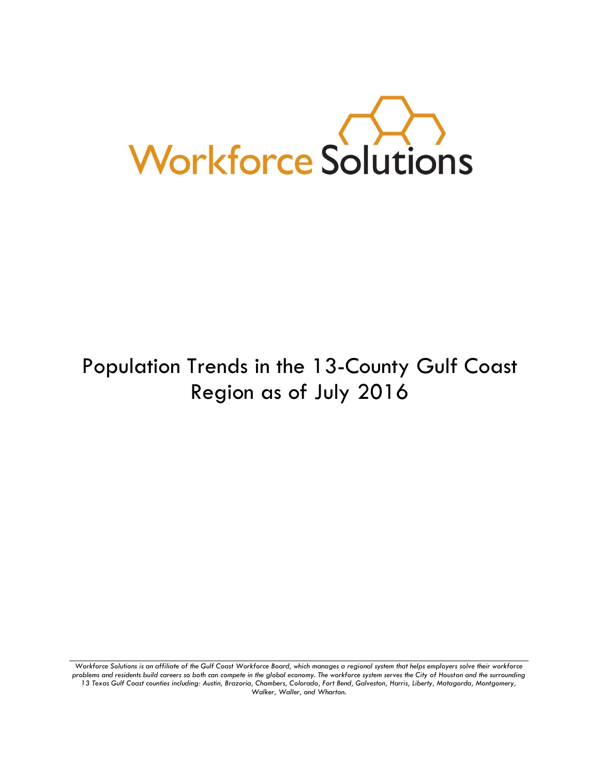

# Population Trends in the 13-County Gulf Coast Region as of July 2016

*Workforce Solutions is an affiliate of the Gulf Coast Workforce Board, which manages a regional system that helps employers solve their workforce problems and residents build careers so both can compete in the global economy. The workforce system serves the City of Houston and the surrounding 13 Texas Gulf Coast counties including: Austin, Brazoria, Chambers, Colorado, Fort Bend, Galveston, Harris, Liberty, Matagorda, Montgomery, Walker, Waller, and Wharton.*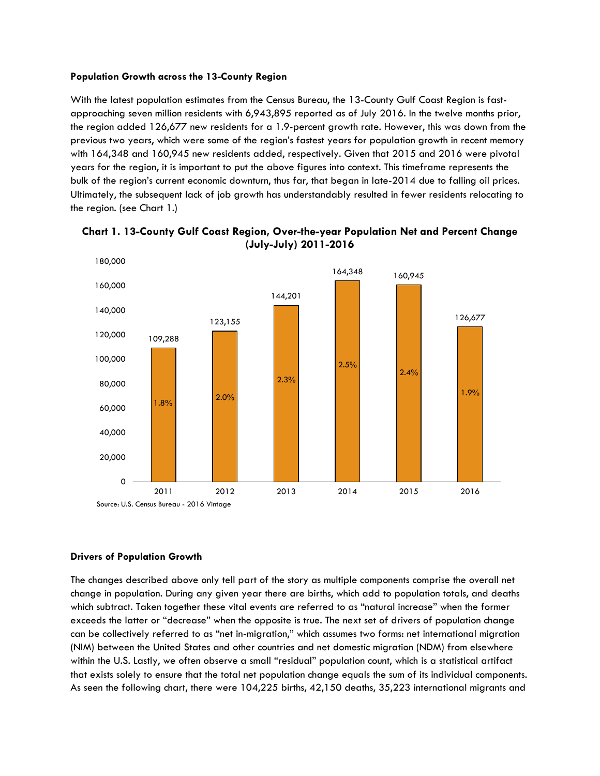#### **Population Growth across the 13-County Region**

With the latest population estimates from the Census Bureau, the 13-County Gulf Coast Region is fastapproaching seven million residents with 6,943,895 reported as of July 2016. In the twelve months prior, the region added 126,677 new residents for a 1.9-percent growth rate. However, this was down from the previous two years, which were some of the region's fastest years for population growth in recent memory with 164,348 and 160,945 new residents added, respectively. Given that 2015 and 2016 were pivotal years for the region, it is important to put the above figures into context. This timeframe represents the bulk of the region's current economic downturn, thus far, that began in late-2014 due to falling oil prices. Ultimately, the subsequent lack of job growth has understandably resulted in fewer residents relocating to the region. (see Chart 1.)



**Chart 1. 13-County Gulf Coast Region, Over-the-year Population Net and Percent Change (July-July) 2011-2016**

## **Drivers of Population Growth**

The changes described above only tell part of the story as multiple components comprise the overall net change in population. During any given year there are births, which add to population totals, and deaths which subtract. Taken together these vital events are referred to as "natural increase" when the former exceeds the latter or "decrease" when the opposite is true. The next set of drivers of population change can be collectively referred to as "net in-migration," which assumes two forms: net international migration (NIM) between the United States and other countries and net domestic migration (NDM) from elsewhere within the U.S. Lastly, we often observe a small "residual" population count, which is a statistical artifact that exists solely to ensure that the total net population change equals the sum of its individual components. As seen the following chart, there were 104,225 births, 42,150 deaths, 35,223 international migrants and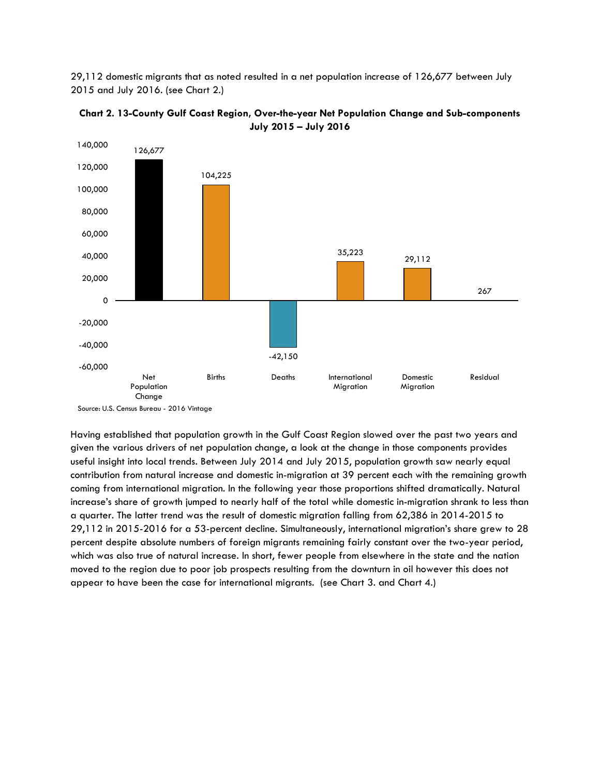29,112 domestic migrants that as noted resulted in a net population increase of 126,677 between July 2015 and July 2016. (see Chart 2.)



**Chart 2. 13-County Gulf Coast Region, Over-the-year Net Population Change and Sub-components July 2015 – July 2016**

Having established that population growth in the Gulf Coast Region slowed over the past two years and given the various drivers of net population change, a look at the change in those components provides useful insight into local trends. Between July 2014 and July 2015, population growth saw nearly equal contribution from natural increase and domestic in-migration at 39 percent each with the remaining growth coming from international migration. In the following year those proportions shifted dramatically. Natural increase's share of growth jumped to nearly half of the total while domestic in-migration shrank to less than a quarter. The latter trend was the result of domestic migration falling from 62,386 in 2014-2015 to 29,112 in 2015-2016 for a 53-percent decline. Simultaneously, international migration's share grew to 28 percent despite absolute numbers of foreign migrants remaining fairly constant over the two-year period, which was also true of natural increase. In short, fewer people from elsewhere in the state and the nation moved to the region due to poor job prospects resulting from the downturn in oil however this does not appear to have been the case for international migrants. (see Chart 3. and Chart 4.)

Source: U.S. Census Bureau - 2016 Vintage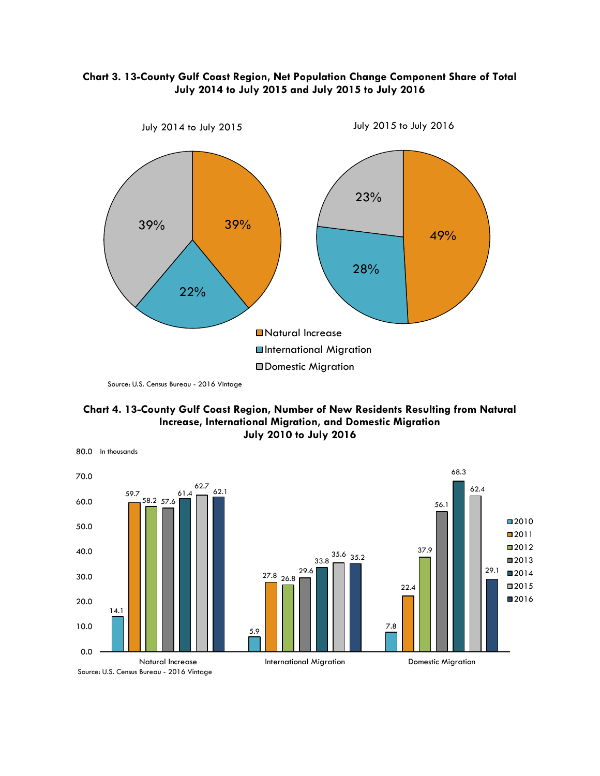

## **Chart 3. 13-County Gulf Coast Region, Net Population Change Component Share of Total July 2014 to July 2015 and July 2015 to July 2016**

Source: U.S. Census Bureau - 2016 Vintage



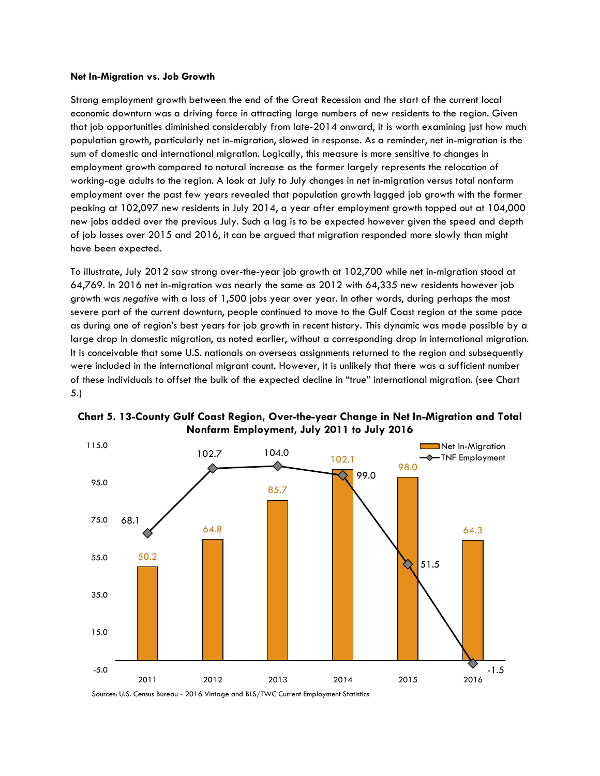#### **Net In-Migration vs. Job Growth**

Strong employment growth between the end of the Great Recession and the start of the current local economic downturn was a driving force in attracting large numbers of new residents to the region. Given that job opportunities diminished considerably from late-2014 onward, it is worth examining just how much population growth, particularly net in-migration, slowed in response. As a reminder, net in-migration is the sum of domestic and international migration. Logically, this measure is more sensitive to changes in employment growth compared to natural increase as the former largely represents the relocation of working-age adults to the region. A look at July to July changes in net in-migration versus total nonfarm employment over the past few years revealed that population growth lagged job growth with the former peaking at 102,097 new residents in July 2014, a year after employment growth topped out at 104,000 new jobs added over the previous July. Such a lag is to be expected however given the speed and depth of job losses over 2015 and 2016, it can be argued that migration responded more slowly than might have been expected.

To illustrate, July 2012 saw strong over-the-year job growth at 102,700 while net in-migration stood at 64,769. In 2016 net in-migration was nearly the same as 2012 with 64,335 new residents however job growth was *negative* with a loss of 1,500 jobs year over year. In other words, during perhaps the most severe part of the current downturn, people continued to move to the Gulf Coast region at the same pace as during one of region's best years for job growth in recent history. This dynamic was made possible by a large drop in domestic migration, as noted earlier, without a corresponding drop in international migration. It is conceivable that some U.S. nationals on overseas assignments returned to the region and subsequently were included in the international migrant count. However, it is unlikely that there was a sufficient number of these individuals to offset the bulk of the expected decline in "true" international migration. (see Chart 5.)



**Chart 5. 13-County Gulf Coast Region, Over-the-year Change in Net In-Migration and Total Nonfarm Employment, July 2011 to July 2016**

Sources: U.S. Census Bureau - 2016 Vintage and BLS/TWC Current Employment Statistics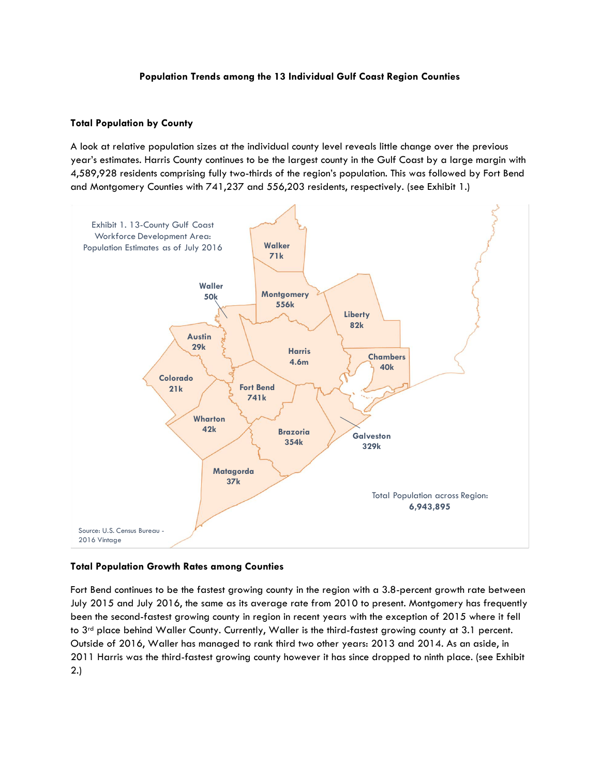## **Population Trends among the 13 Individual Gulf Coast Region Counties**

## **Total Population by County**

A look at relative population sizes at the individual county level reveals little change over the previous year's estimates. Harris County continues to be the largest county in the Gulf Coast by a large margin with 4,589,928 residents comprising fully two-thirds of the region's population. This was followed by Fort Bend and Montgomery Counties with 741,237 and 556,203 residents, respectively. (see Exhibit 1.)



## **Total Population Growth Rates among Counties**

Fort Bend continues to be the fastest growing county in the region with a 3.8-percent growth rate between July 2015 and July 2016, the same as its average rate from 2010 to present. Montgomery has frequently been the second-fastest growing county in region in recent years with the exception of 2015 where it fell to 3<sup>rd</sup> place behind Waller County. Currently, Waller is the third-fastest growing county at 3.1 percent. Outside of 2016, Waller has managed to rank third two other years: 2013 and 2014. As an aside, in 2011 Harris was the third-fastest growing county however it has since dropped to ninth place. (see Exhibit 2.)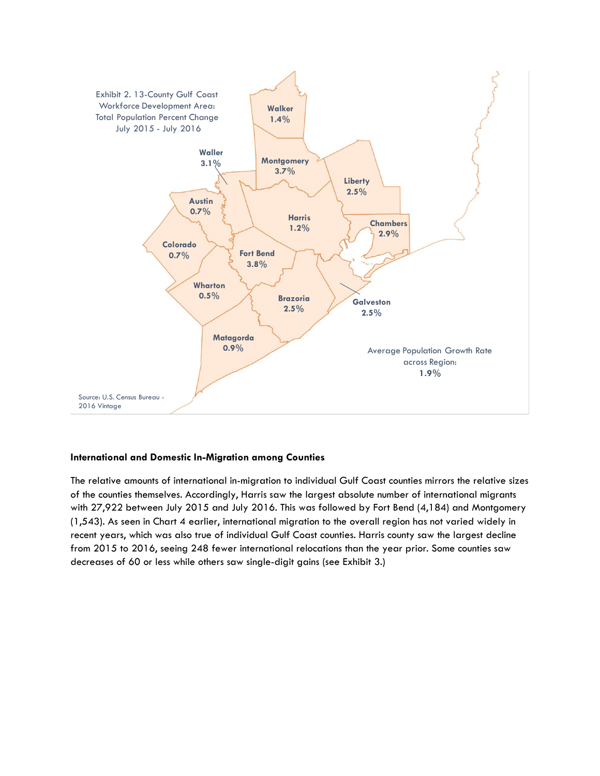

## **International and Domestic In-Migration among Counties**

The relative amounts of international in-migration to individual Gulf Coast counties mirrors the relative sizes of the counties themselves. Accordingly, Harris saw the largest absolute number of international migrants with 27,922 between July 2015 and July 2016. This was followed by Fort Bend (4,184) and Montgomery (1,543). As seen in Chart 4 earlier, international migration to the overall region has not varied widely in recent years, which was also true of individual Gulf Coast counties. Harris county saw the largest decline from 2015 to 2016, seeing 248 fewer international relocations than the year prior. Some counties saw decreases of 60 or less while others saw single-digit gains (see Exhibit 3.)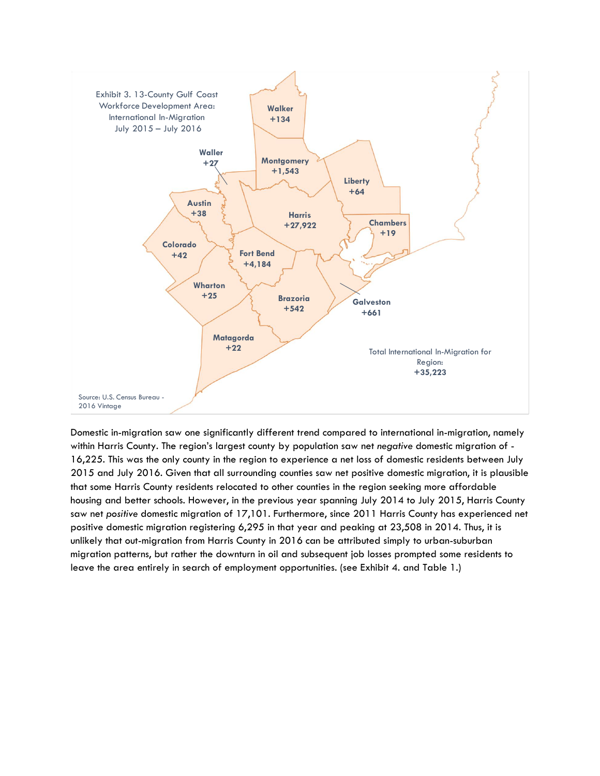

Domestic in-migration saw one significantly different trend compared to international in-migration, namely within Harris County. The region's largest county by population saw net *negative* domestic migration of - 16,225. This was the only county in the region to experience a net loss of domestic residents between July 2015 and July 2016. Given that all surrounding counties saw net positive domestic migration, it is plausible that some Harris County residents relocated to other counties in the region seeking more affordable housing and better schools. However, in the previous year spanning July 2014 to July 2015, Harris County saw net *positive* domestic migration of 17,101. Furthermore, since 2011 Harris County has experienced net positive domestic migration registering 6,295 in that year and peaking at 23,508 in 2014. Thus, it is unlikely that out-migration from Harris County in 2016 can be attributed simply to urban-suburban migration patterns, but rather the downturn in oil and subsequent job losses prompted some residents to leave the area entirely in search of employment opportunities. (see Exhibit 4. and Table 1.)